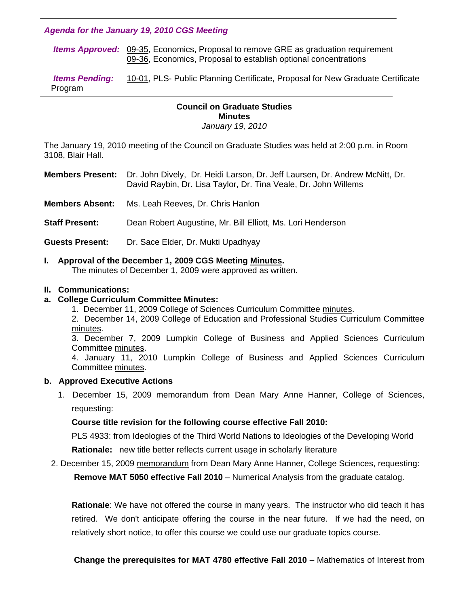### *Agenda for the January 19, 2010 CGS Meeting*

 *Items Approved:* [09-35,](http://www.eiu.edu/~eiucgs/currentagendaitems/agenda09-35.pdf) Economics, Proposal to remove GRE as graduation requirement [09-36, E](http://www.eiu.edu/~eiucgs/currentagendaitems/agenda09-36.pdf)conomics, Proposal to establish optional concentrations

 *Items Pending:* [10-01, P](http://www.eiu.edu/~eiucgs/currentagendaitems/agenda10-01.pdf)LS- Public Planning Certificate, Proposal for New Graduate Certificate Program 1

# **Council on Graduate Studies Minutes**

*January 19, 2010* 

The January 19, 2010 meeting of the Council on Graduate Studies was held at 2:00 p.m. in Room 3108, Blair Hall.

**Members Present:** Dr. John Dively, Dr. Heidi Larson, Dr. Jeff Laursen, Dr. Andrew McNitt, Dr. David Raybin, Dr. Lisa Taylor, Dr. Tina Veale, Dr. John Willems

**Members Absent:** Ms. Leah Reeves, Dr. Chris Hanlon

**Staff Present:** Dean Robert Augustine, Mr. Bill Elliott, Ms. Lori Henderson

**Guests Present:** Dr. Sace Elder, Dr. Mukti Upadhyay

# **I. Approval of the December 1, 2009 CGS Meetin[g Minutes.](http://www.eiu.edu/~eiucgs/currentminutes/Minutes12-01-09.pdf)**

The minutes of December 1, 2009 were approved as written.

### **II. Communications:**

# **a. College Curriculum Committee Minutes:**

- 1. December 11, 2009 College of Sciences Curriculum Committee [minutes.](http://www.eiu.edu/~eiucgs/currentagendaitems/COSMin12-11-09.pdf)
- 2. December 14, 2009 College of Education and Professional Studies Curriculum Committee [minutes.](http://www.eiu.edu/~eiucgs/currentagendaitems/CEPSMin12-14-09.pdf)

3. December 7, 2009 Lumpkin College of Business and Applied Sciences Curriculum Committe[e minutes.](http://www.eiu.edu/~eiucgs/currentagendaitems/LCBASMin12-7-09.pdf) 

4. January 11, 2010 Lumpkin College of Business and Applied Sciences Curriculum Committe[e minutes.](http://www.eiu.edu/~eiucgs/currentagendaitems/LCBASMin1-11-10.pdf) 

#### **b. Approved Executive Actions**

 1. December 15, 2009 [memorandum fro](http://www.eiu.edu/~eiucgs/currentagendaitems/COS-Exec-Act-PLS-12-15-09.pdf)m Dean Mary Anne Hanner, College of Sciences, requesting:

# **Course title revision for the following course effective Fall 2010:**

PLS 4933: from Ideologies of the Third World Nations to Ideologies of the Developing World

**Rationale:** new title better reflects current usage in scholarly literature

2. December 15, 2009 m[emorandum fro](http://www.eiu.edu/~eiucgs/currentagendaitems/COS-Exec-Act-MAT-12-15-09.pdf)m Dean Mary Anne Hanner, College Sciences, requesting:

 **Remove MAT 5050 effective Fall 2010** – Numerical Analysis from the graduate catalog.

**Rationale**: We have not offered the course in many years. The instructor who did teach it has retired. We don't anticipate offering the course in the near future. If we had the need, on relatively short notice, to offer this course we could use our graduate topics course.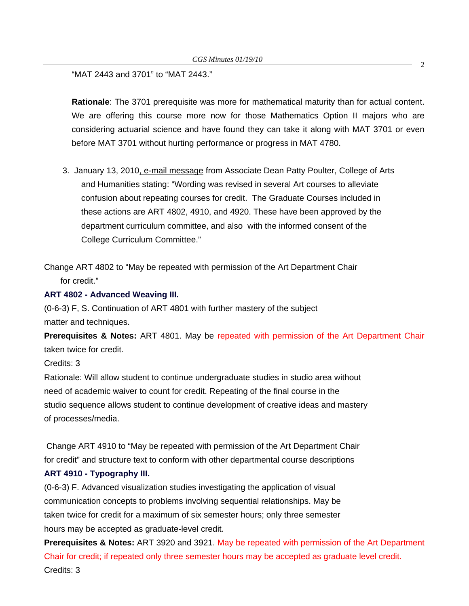"MAT 2443 and 3701" to "MAT 2443."

**Rationale**: The 3701 prerequisite was more for mathematical maturity than for actual content. We are offering this course more now for those Mathematics Option II majors who are considering actuarial science and have found they can take it along with MAT 3701 or even before MAT 3701 without hurting performance or progress in MAT 4780.

3. January 13, 2010, e-m[ail message fr](http://www.eiu.edu/~eiucgs/currentagendaitems/CAH-exec-act-12-04-09.pdf)om Associate Dean Patty Poulter, College of Arts and Humanities stating: "Wording was revised in several Art courses to alleviate confusion about repeating courses for credit. The Graduate Courses included in these actions are ART 4802, 4910, and 4920. These have been approved by the department curriculum committee, and also with the informed consent of the College Curriculum Committee."

Change ART 4802 to "May be repeated with permission of the Art Department Chair for credit."

### **ART 4802 - Advanced Weaving III.**

(0-6-3) F, S. Continuation of ART 4801 with further mastery of the subject matter and techniques.

**Prerequisites & Notes:** ART 4801. May be repeated with permission of the Art Department Chair taken twice for credit.

Credits: 3

Rationale: Will allow student to continue undergraduate studies in studio area without need of academic waiver to count for credit. Repeating of the final course in the studio sequence allows student to continue development of creative ideas and mastery of processes/media.

 Change ART 4910 to "May be repeated with permission of the Art Department Chair for credit" and structure text to conform with other departmental course descriptions

# **ART 4910 - Typography III.**

(0-6-3) F. Advanced visualization studies investigating the application of visual communication concepts to problems involving sequential relationships. May be taken twice for credit for a maximum of six semester hours; only three semester hours may be accepted as graduate-level credit.

**Prerequisites & Notes:** ART 3920 and 3921. May be repeated with permission of the Art Department Chair for credit; if repeated only three semester hours may be accepted as graduate level credit. Credits: 3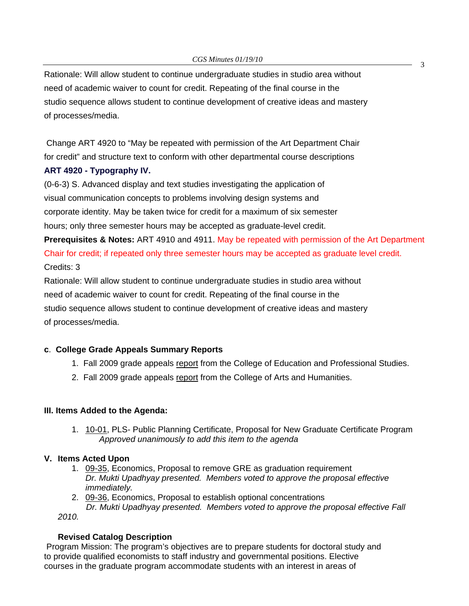Rationale: Will allow student to continue undergraduate studies in studio area without need of academic waiver to count for credit. Repeating of the final course in the studio sequence allows student to continue development of creative ideas and mastery of processes/media.

 Change ART 4920 to "May be repeated with permission of the Art Department Chair for credit" and structure text to conform with other departmental course descriptions

### **ART 4920 - Typography IV.**

(0-6-3) S. Advanced display and text studies investigating the application of visual communication concepts to problems involving design systems and corporate identity. May be taken twice for credit for a maximum of six semester hours; only three semester hours may be accepted as graduate-level credit.

**Prerequisites & Notes:** ART 4910 and 4911. May be repeated with permission of the Art Department Chair for credit; if repeated only three semester hours may be accepted as graduate level credit. Credits: 3

Rationale: Will allow student to continue undergraduate studies in studio area without need of academic waiver to count for credit. Repeating of the final course in the studio sequence allows student to continue development of creative ideas and mastery of processes/media.

# **c**. **College Grade Appeals Summary Reports**

- 1. Fall 2009 grade appeals [report fr](http://www.eiu.edu/~eiucgs/currentagendaitems/CEPSGradeAppealsFA09.pdf)om the College of Education and Professional Studies.
- 2. Fall 2009 grade appeal[s report fr](http://www.eiu.edu/~eiucgs/currentagendaitems/CAHGradeAppealsFA09.pdf)om the College of Arts and Humanities.

#### **III. Items Added to the Agenda:**

[1. 10-01](http://www.eiu.edu/~eiucgs/currentagendaitems/agenda10-01.pdf), PLS- Public Planning Certificate, Proposal for New Graduate Certificate Program *Approved unanimously to add this item to the agenda* 

#### **V. Items Acted Upon**

- 1. [09-35, E](http://www.eiu.edu/~eiucgs/currentagendaitems/agenda09-35.pdf)conomics, Proposal to remove GRE as graduation requirement *Dr. Mukti Upadhyay presented. Members voted to approve the proposal effective immediately.*
- 2. [09-36,](http://www.eiu.edu/~eiucgs/currentagendaitems/agenda09-36.pdf) Economics, Proposal to establish optional concentrations  *Dr. Mukti Upadhyay presented. Members voted to approve the proposal effective Fall*

*2010.* 

# **Revised Catalog Description**

 Program Mission: The program's objectives are to prepare students for doctoral study and to provide qualified economists to staff industry and governmental positions. Elective courses in the graduate program accommodate students with an interest in areas of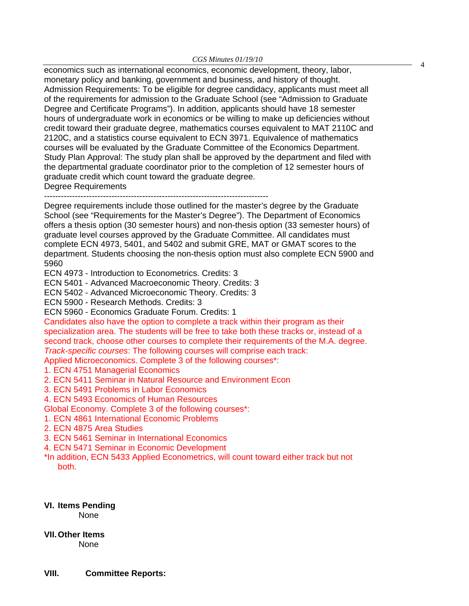*CGS Minutes 01/19/10*<br>
economics such as international economics, economic development, theory, labor, monetary policy and banking, government and business, and history of thought. Admission Requirements: To be eligible for degree candidacy, applicants must meet all of the requirements for admission to the Graduate School (see "Admission to Graduate Degree and Certificate Programs"). In addition, applicants should have 18 semester hours of undergraduate work in economics or be willing to make up deficiencies without credit toward their graduate degree, mathematics courses equivalent to MAT 2110C and 2120C, and a statistics course equivalent to ECN 3971. Equivalence of mathematics courses will be evaluated by the Graduate Committee of the Economics Department. Study Plan Approval: The study plan shall be approved by the department and filed with the departmental graduate coordinator prior to the completion of 12 semester hours of graduate credit which count toward the graduate degree.

Degree Requirements

--------------------------------------------------------------------------------

Degree requirements include those outlined for the master's degree by the Graduate School (see "Requirements for the Master's Degree"). The Department of Economics offers a thesis option (30 semester hours) and non-thesis option (33 semester hours) of graduate level courses approved by the Graduate Committee. All candidates must complete ECN 4973, 5401, and 5402 and submit GRE, MAT or GMAT scores to the department. Students choosing the non-thesis option must also complete ECN 5900 and 5960

ECN 4973 - Introduction to Econometrics. Credits: 3

ECN 5401 - Advanced Macroeconomic Theory. Credits: 3

ECN 5402 - Advanced Microeconomic Theory. Credits: 3

ECN 5900 - Research Methods. Credits: 3

ECN 5960 - Economics Graduate Forum. Credits: 1

Candidates also have the option to complete a track within their program as their specialization area. The students will be free to take both these tracks or, instead of a second track, choose other courses to complete their requirements of the M.A. degree. *Track-specific courses*: The following courses will comprise each track:

Applied Microeconomics. Complete 3 of the following courses\*:

- 1. ECN 4751 Managerial Economics
- 2. ECN 5411 Seminar in Natural Resource and Environment Econ
- 3. ECN 5491 Problems in Labor Economics
- 4. ECN 5493 Economics of Human Resources

Global Economy. Complete 3 of the following courses\*:

- 1. ECN 4861 International Economic Problems
- 2. ECN 4875 Area Studies
- 3. ECN 5461 Seminar in International Economics
- 4. ECN 5471 Seminar in Economic Development

\*In addition, ECN 5433 Applied Econometrics, will count toward either track but not both.

**VI. Items Pending**  None

**VII. Other Items**  None